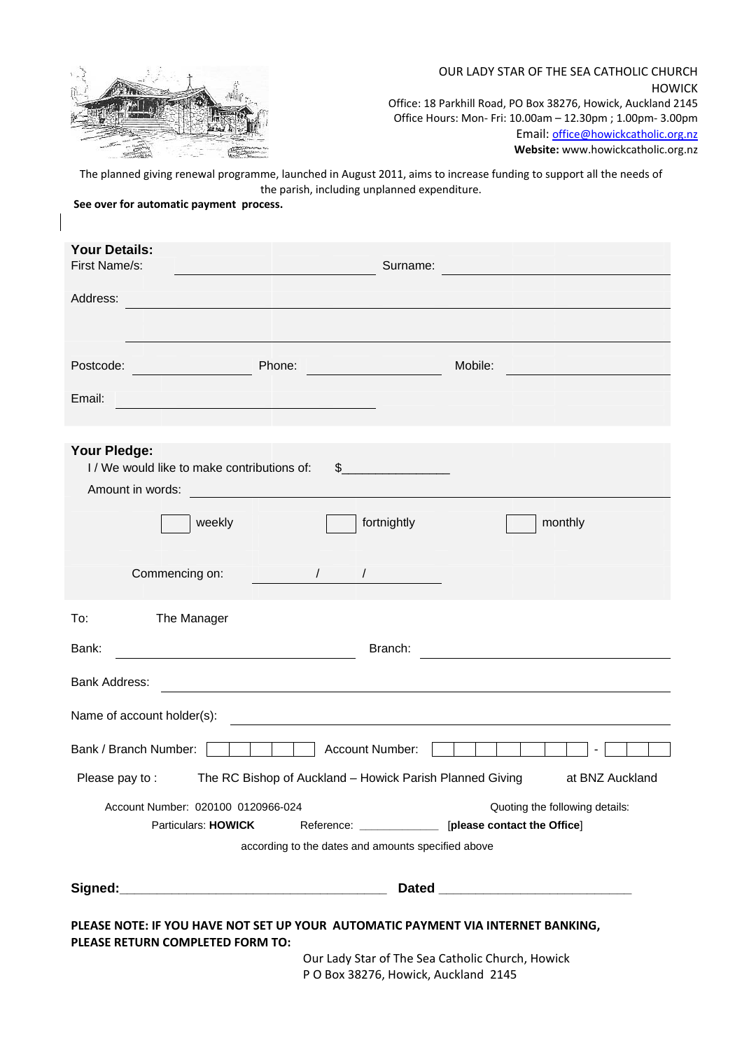

## OUR LADY STAR OF THE SEA CATHOLIC CHURCH HOWICK Office: 18 Parkhill Road, PO Box 38276, Howick, Auckland 2145 Office Hours: Mon‐ Fri: 10.00am – 12.30pm ; 1.00pm‐ 3.00pm Email: office@howickcatholic.org.nz **Website:** www.howickcatholic.org.nz

The planned giving renewal programme, launched in August 2011, aims to increase funding to support all the needs of the parish, including unplanned expenditure.

**See over for automatic payment process.**

| <b>Your Details:</b><br>First Name/s:                                                                                                                                    | Surname:                          |                                                                                                                        |
|--------------------------------------------------------------------------------------------------------------------------------------------------------------------------|-----------------------------------|------------------------------------------------------------------------------------------------------------------------|
| <u> 1999 - Johann Stoff, skrivatsk politik (</u>                                                                                                                         |                                   | <u> 1999 - Johann Barn, mars et al. 1999 - Anna ann an t-Anna ann an t-Anna ann an t-Anna ann an t-Anna ann an t-A</u> |
| Address:<br><u> 1989 - Johann John Harry, mars and de Branch and de Branch and de Branch and de Branch and de Branch and de B</u>                                        |                                   |                                                                                                                        |
| Phone:<br>Postcode:                                                                                                                                                      |                                   | Mobile:                                                                                                                |
| Email:<br><u> 1989 - Johann Barbara, martin basal da</u>                                                                                                                 |                                   |                                                                                                                        |
| Your Pledge:<br>I/We would like to make contributions of:                                                                                                                | $\sim$                            |                                                                                                                        |
| Amount in words:                                                                                                                                                         |                                   |                                                                                                                        |
| weekly                                                                                                                                                                   | fortnightly                       | monthly                                                                                                                |
| Commencing on:<br>$\frac{1}{2}$                                                                                                                                          |                                   |                                                                                                                        |
| To:<br>The Manager                                                                                                                                                       |                                   |                                                                                                                        |
| Bank:<br>Branch:                                                                                                                                                         |                                   |                                                                                                                        |
| <b>Bank Address:</b>                                                                                                                                                     |                                   |                                                                                                                        |
| Name of account holder(s):                                                                                                                                               |                                   | <u> 1989 - Johann Stein, mars an deutscher Stein und der Stein und der Stein und der Stein und der Stein und der</u>   |
| Bank / Branch Number:                                                                                                                                                    | Account Number:                   |                                                                                                                        |
| The RC Bishop of Auckland - Howick Parish Planned Giving<br>Please pay to:                                                                                               |                                   | at BNZ Auckland                                                                                                        |
| Account Number: 020100 0120966-024<br>Particulars: HOWICK                                                                                                                |                                   | Quoting the following details:<br>Reference: _____________ [please contact the Office]                                 |
| according to the dates and amounts specified above                                                                                                                       |                                   |                                                                                                                        |
|                                                                                                                                                                          | Signed: Management of the Signed: |                                                                                                                        |
| PLEASE NOTE: IF YOU HAVE NOT SET UP YOUR AUTOMATIC PAYMENT VIA INTERNET BANKING,<br>PLEASE RETURN COMPLETED FORM TO:<br>Our Lady Star of The Sea Catholic Church, Howick |                                   |                                                                                                                        |
| P O Box 38276, Howick, Auckland 2145                                                                                                                                     |                                   |                                                                                                                        |